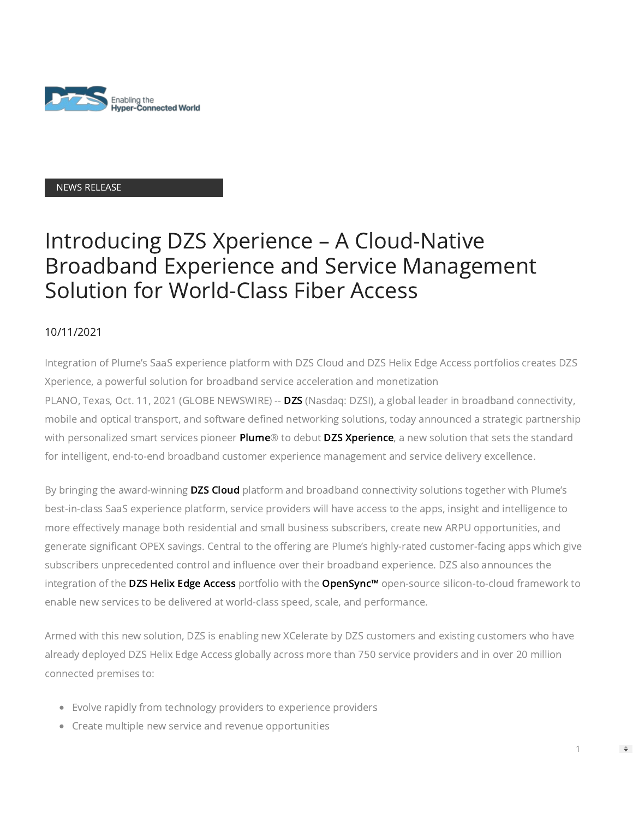

## NEWS RELEASE

# Introducing DZS Xperience – A Cloud-Native Broadband Experience and Service Management Solution for World-Class Fiber Access

## 10/11/2021

Integration of Plume's SaaS experience platform with DZS Cloud and DZS Helix Edge Access portfolios creates DZS Xperience, a powerful solution for broadband service acceleration and monetization PLANO, Texas, Oct. 11, 2021 (GLOBE NEWSWIRE) -- [DZS](https://www.globenewswire.com/Tracker?data=7rQWFoYQi4e7g-ieJh0Ig-Du_aGZqiE2po0TwqlIoNiy-1nCPhsNQJPslRH2ThKb) (Nasdaq: DZSI), a global leader in broadband connectivity, mobile and optical transport, and software defined networking solutions, today announced a strategic partnership with personalized smart services pioneer [Plume®](https://www.globenewswire.com/Tracker?data=Jr6LkhAHVOgx2VrQqlGXcMlpMKk8az-72NM7Vgm4bVuHh6ch8BMvUPIw62hy9AvWHcLcg_HTj3Pr1XBbXLzmeg==) to debut [DZS Xperience](https://www.globenewswire.com/Tracker?data=lv6jaQ45viDnNhGcpLZ_yg0M5UrqrXaQ0U9rTayiXc1sCevWLKcEJYOjq3e3TXeIGCUmJZGxWMpsICEbNkNdRf6b5bHLq9iKRkl9OzyBSKw=), a new solution that sets the standard for intelligent, end-to-end broadband customer experience management and service delivery excellence.

By bringing the award-winning [DZS Cloud](https://www.globenewswire.com/Tracker?data=DgSk-b2M1xQALBgaTvHYZvSuRwPTiYRx_84PAXl7AxhEsdIyaBRKOcgSXeUYsxwsEoNVsoprhczz4C9Wf3iaJZrT--x_fCtUJulz4-X4yCwS_JpEe_EH6bXetLQ9_s_p) platform and broadband connectivity solutions together with Plume's best-in-class SaaS experience platform, service providers will have access to the apps, insight and intelligence to more effectively manage both residential and small business subscribers, create new ARPU opportunities, and generate significant OPEX savings. Central to the offering are Plume's highly-rated customer-facing apps which give subscribers unprecedented control and influence over their broadband experience. DZS also announces the integration of the [DZS Helix Edge Access](https://www.globenewswire.com/Tracker?data=KVc03WA-JRgRxarWR1UoHRhsj0nwiuZoixvEAF9pRhlAs_zA-gFfJ5pl1E64XFR3PMzp4vo8j0YbRgRyvU9x5-_CNQzY4s12ufx_i_pi8Cq7o4pX_WvLigefmT4H9MJYpozyTtKxkyJJ3ZoMH_WGVesIYZInoaK_4BAQ7HWn_KKAd6ZzHkgYFlfc6XkEpJggW9JQzTeKgjfg84xqfylKt96Wi8mvNt7kKrOwBKxH6iqPn7f1nS_1LDbLEqL531gSvhlH53qme9aYIAIDEzLMC1moWCOkEFrc_8UeDtZCL5JXmodkYVD6jNZveYGJgWC-) portfolio with the [OpenSync™](https://www.globenewswire.com/Tracker?data=_yyTk0rPMHX-st9olgC5jDV9OCa4TGnTNrWguiMS0cQbDKWUwpJpvMM5XPWoj1mi_NEoM3mtv0Tcj7SKSOS-Tg==) open-source silicon-to-cloud framework to enable new services to be delivered at world-class speed, scale, and performance.

Armed with this new solution, DZS is enabling new XCelerate by DZS customers and existing customers who have already deployed DZS Helix Edge Access globally across more than 750 service providers and in over 20 million connected premises to:

1

 $\Rightarrow$ 

- Evolve rapidly from technology providers to experience providers
- Create multiple new service and revenue opportunities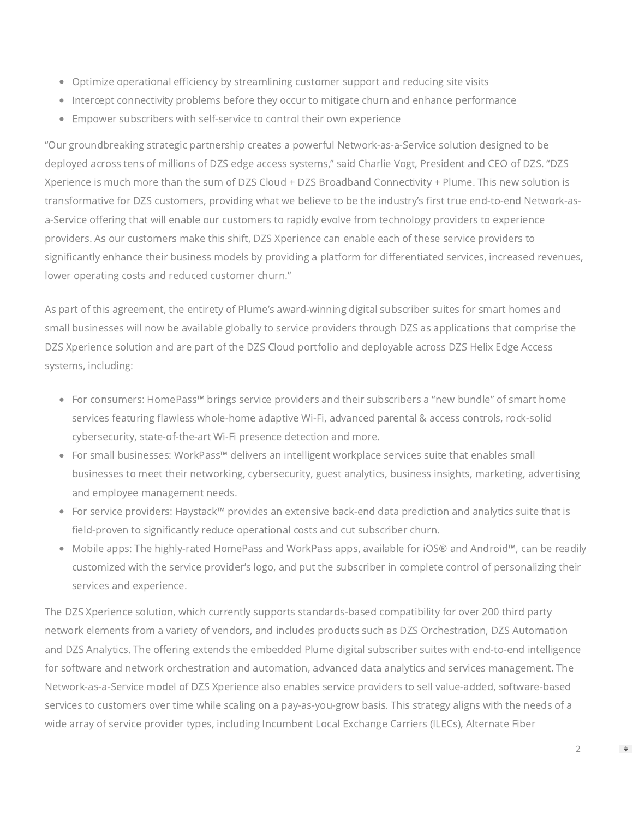- Optimize operational efficiency by streamlining customer support and reducing site visits
- Intercept connectivity problems before they occur to mitigate churn and enhance performance
- Empower subscribers with self-service to control their own experience

"Our groundbreaking strategic partnership creates a powerful Network-as-a-Service solution designed to be deployed across tens of millions of DZS edge access systems," said Charlie Vogt, President and CEO of DZS. "DZS Xperience is much more than the sum of DZS Cloud + DZS Broadband Connectivity + Plume. This new solution is transformative for DZS customers, providing what we believe to be the industry's first true end-to-end Network-asa-Service offering that will enable our customers to rapidly evolve from technology providers to experience providers. As our customers make this shift, DZS Xperience can enable each of these service providers to significantly enhance their business models by providing a platform for differentiated services, increased revenues, lower operating costs and reduced customer churn."

As part of this agreement, the entirety of Plume's award-winning digital subscriber suites for smart homes and small businesses will now be available globally to service providers through DZS as applications that comprise the DZS Xperience solution and are part of the DZS Cloud portfolio and deployable across DZS Helix Edge Access systems, including:

- For consumers: HomePass™ brings service providers and their subscribers a "new bundle" of smart home services featuring flawless whole-home adaptive Wi-Fi, advanced parental & access controls, rock-solid cybersecurity, state-of-the-art Wi-Fi presence detection and more.
- For small businesses: WorkPass™ delivers an intelligent workplace services suite that enables small businesses to meet their networking, cybersecurity, guest analytics, business insights, marketing, advertising and employee management needs.
- For service providers: Haystack™ provides an extensive back-end data prediction and analytics suite that is field-proven to significantly reduce operational costs and cut subscriber churn.
- Mobile apps: The highly-rated HomePass and WorkPass apps, available for iOS® and Android™, can be readily customized with the service provider's logo, and put the subscriber in complete control of personalizing their services and experience.

The DZS Xperience solution, which currently supports standards-based compatibility for over 200 third party network elements from a variety of vendors, and includes products such as DZS Orchestration, DZS Automation and DZS Analytics. The offering extends the embedded Plume digital subscriber suites with end-to-end intelligence for software and network orchestration and automation, advanced data analytics and services management. The Network-as-a-Service model of DZS Xperience also enables service providers to sell value-added, software-based services to customers over time while scaling on a pay-as-you-grow basis. This strategy aligns with the needs of a wide array of service provider types, including Incumbent Local Exchange Carriers (ILECs), Alternate Fiber

2

 $\Rightarrow$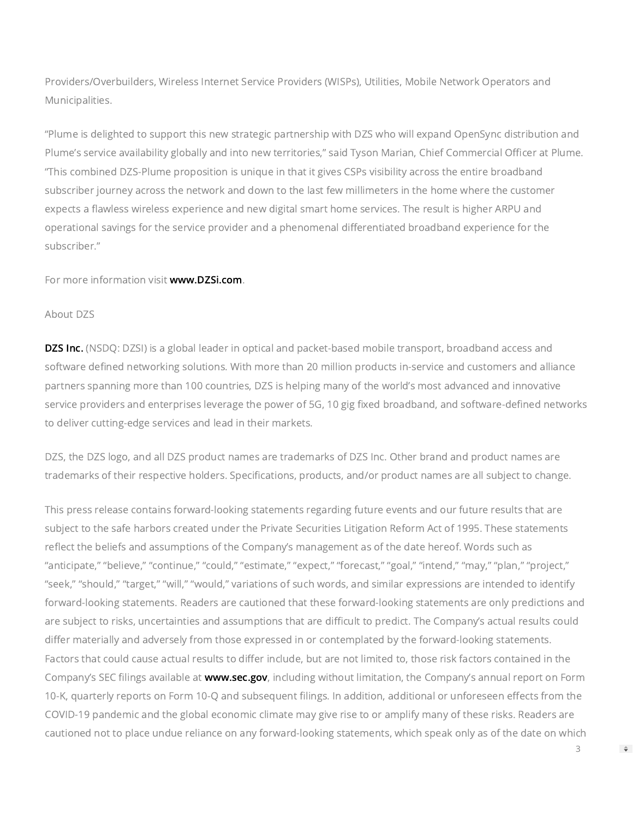Providers/Overbuilders, Wireless Internet Service Providers (WISPs), Utilities, Mobile Network Operators and Municipalities.

"Plume is delighted to support this new strategic partnership with DZS who will expand OpenSync distribution and Plume's service availability globally and into new territories," said Tyson Marian, Chief Commercial Officer at Plume. "This combined DZS-Plume proposition is unique in that it gives CSPs visibility across the entire broadband subscriber journey across the network and down to the last few millimeters in the home where the customer expects a flawless wireless experience and new digital smart home services. The result is higher ARPU and operational savings for the service provider and a phenomenal differentiated broadband experience for the subscriber."

For more information visit [www.DZSi.com.](https://www.globenewswire.com/Tracker?data=m_7L28lOfHPAcV8dv4jGqQHs1BEsK4L7nO2XWrfMC-KjhDgz2XO0O0SBRJdJNTnCBUs8M-ryJ4UUI_oxU_Dcsw==)

#### About DZS

**DZS Inc.** (NSDQ: DZSI) is a global leader in optical and packet-based mobile transport, broadband access and software defined networking solutions. With more than 20 million products in-service and customers and alliance partners spanning more than 100 countries, DZS is helping many of the world's most advanced and innovative service providers and enterprises leverage the power of 5G, 10 gig fixed broadband, and software-defined networks to deliver cutting-edge services and lead in their markets.

DZS, the DZS logo, and all DZS product names are trademarks of DZS Inc. Other brand and product names are trademarks of their respective holders. Specifications, products, and/or product names are all subject to change.

This press release contains forward-looking statements regarding future events and our future results that are subject to the safe harbors created under the Private Securities Litigation Reform Act of 1995. These statements reflect the beliefs and assumptions of the Company's management as of the date hereof. Words such as "anticipate," "believe," "continue," "could," "estimate," "expect," "forecast," "goal," "intend," "may," "plan," "project," "seek," "should," "target," "will," "would," variations of such words, and similar expressions are intended to identify forward-looking statements. Readers are cautioned that these forward-looking statements are only predictions and are subject to risks, uncertainties and assumptions that are difficult to predict. The Company's actual results could differ materially and adversely from those expressed in or contemplated by the forward-looking statements. Factors that could cause actual results to differ include, but are not limited to, those risk factors contained in the Company's SEC filings available at [www.sec.gov](https://www.globenewswire.com/Tracker?data=NTFS-4KFMbCTxHhpfGvRDxzaBuw4Kgi50X_o4AgCEIpzAFaM58pA213uhYAYtTk4yR_dqOwrqi4ZReMZPkAxrQ==), including without limitation, the Company's annual report on Form 10-K, quarterly reports on Form 10-Q and subsequent filings. In addition, additional or unforeseen effects from the COVID-19 pandemic and the global economic climate may give rise to or amplify many of these risks. Readers are cautioned not to place undue reliance on any forward-looking statements, which speak only as of the date on which

 $\Rightarrow$ 

3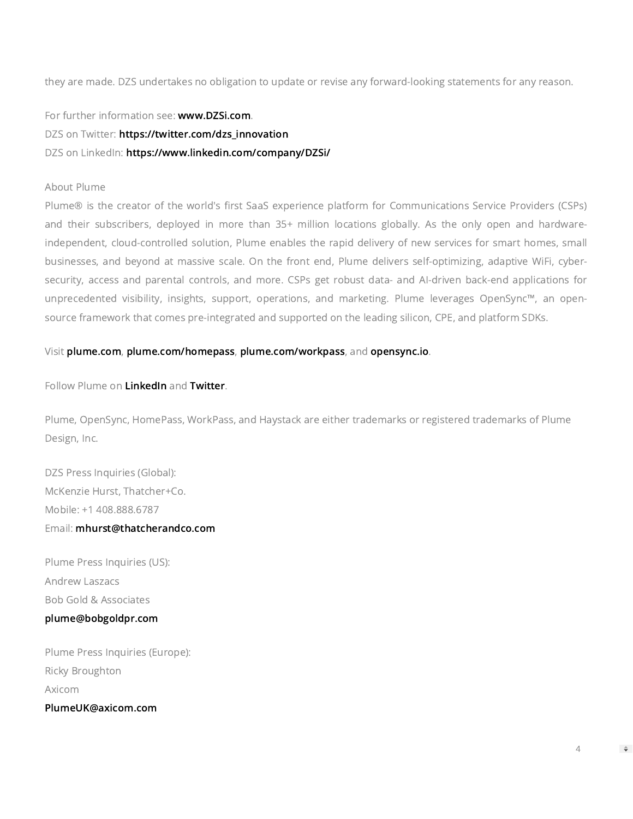they are made. DZS undertakes no obligation to update or revise any forward-looking statements for any reason.

For further information see: [www.DZSi.com.](https://www.globenewswire.com/Tracker?data=m_7L28lOfHPAcV8dv4jGqbjf4F4snFIV-p3clMtjhdLoOAlKsdZ_xtfpEy0jhvYlT7D0Ebak-HIkEGZbKQPqmg==)

DZS on Twitter: [https://twitter.com/dzs\\_innovation](https://www.globenewswire.com/Tracker?data=JPVfBRia2P7CTsscJAH-wS0Res0EHYHKdmaaEwBvHDjbEB24OSaFPH-_j0BH10_878lxb2OGpKCEeIU2MWtd5R-pctIJ6xZq9oDmUbODEPHhDbhrWfU70kEc17_1biFV)

DZS on LinkedIn: [https://www.linkedin.com/company/DZSi/](https://www.globenewswire.com/Tracker?data=JPVfBRia2P7CTsscJAH-we1VuHI7CO4HuP4JNpWGQTsXCMW9_0PHXC22rPmXZWi4oqUryxL7X3j3UpoSF2qr-nXmXqHkOhKwkHZTE_E58yQYqN8QEwVcMen5h9ZR-OFK6B7omJpzI7Bb3IlftFmghg==)

## About Plume

Plume® is the creator of the world's first SaaS experience platform for Communications Service Providers (CSPs) and their subscribers, deployed in more than 35+ million locations globally. As the only open and hardwareindependent, cloud-controlled solution, Plume enables the rapid delivery of new services for smart homes, small businesses, and beyond at massive scale. On the front end, Plume delivers self-optimizing, adaptive WiFi, cybersecurity, access and parental controls, and more. CSPs get robust data- and AI-driven back-end applications for unprecedented visibility, insights, support, operations, and marketing. Plume leverages OpenSync™, an opensource framework that comes pre-integrated and supported on the leading silicon, CPE, and platform SDKs.

## Visit [plume.com,](https://www.globenewswire.com/Tracker?data=vhbgvfRwITIcEmHUpFkLxgeNwYFet-1NkqxLmPjITbfDPTmToyUN6e8g9DllK-wz6YMmJO6nos1U_5HPgbKX5A==) [plume.com/homepass](https://www.globenewswire.com/Tracker?data=vhbgvfRwITIcEmHUpFkLxvaamZhmoGtqKSvOR547QyToMbbhlmX8yCCyi7uOLa89EfK4l-Mt9Boc28KQ8cWoOifw97RCRhxYavCeDLEVov8=), [plume.com/workpass,](https://www.globenewswire.com/Tracker?data=vhbgvfRwITIcEmHUpFkLxuznCquxGqTiYoyKDSUT_02z299E_aqYc9m_QV_D_RMnFa_rJzBMmuIH57Bx_FIT-4qtndNQGcI2XzfRkq9Mo_w=) and [opensync.io.](https://www.globenewswire.com/Tracker?data=3LWKbMFfo7fOJKfva5paKkJq1zq2ou-MvVK7_8-g2pbCVCLYwFP5krp-GexA-hv6ufSRfbaVHWOhGLc57s3IwQ==)

#### Follow Plume on [LinkedIn](https://www.globenewswire.com/Tracker?data=mDcadCY95BTTgU3HzJCB6RWp5415Do7K7KHKxAucOISIv3z78Po3Y-9BbGYHdKu2quT3iEfeE0Xm8jO0M9IlB__9DQAMBq4POyWnriDiyRk=) and [Twitter.](https://www.globenewswire.com/Tracker?data=4RLX40bQu93o5FYAaAgSkcmoJP-VxN_lB8Bm3pFVYKH7J22gJPwXDctuCNT3-4jJvlHPFlZR_U4OnbFLknxAig==)

Plume, OpenSync, HomePass, WorkPass, and Haystack are either trademarks or registered trademarks of Plume Design, Inc.

DZS Press Inquiries (Global): McKenzie Hurst, Thatcher+Co. Mobile: +1 408.888.6787 Email: [mhurst@thatcherandco.com](https://www.globenewswire.com/Tracker?data=6F2-WGFSHRZk4uphqcVUVCKmxNVQwPRrToyzlv8Po3DG9TqgjlBuPKMdieEqK4uvHmLgC6oN4ngk7UCYJ8OOO_Nieb0u4FTqsCLtrmGPW3w=)

Plume Press Inquiries (US): Andrew Laszacs Bob Gold & Associates

## [plume@bobgoldpr.com](https://www.globenewswire.com/Tracker?data=OKq7y6lgoXEw2Bcen13D5h-CM89WNjBOCyqjbIAn7jYYwEJY2klAZ57Ps9Fup43RXdfEEpYkI6vqSG-Jve7c_6gcKESZ8nQhSUZ7OmIzU_o=)

Plume Press Inquiries (Europe): Ricky Broughton Axicom

[PlumeUK@axicom.com](https://www.globenewswire.com/Tracker?data=qP7PQpytutnKEc0mHza9iPqUMyOXxfeuMZmCs6i273XMkkZZvjHhdwp45jDymbouTty0DvS_O9DuCPuiB6HZkY1N62-W7vSQymJyXMIMs7o=)